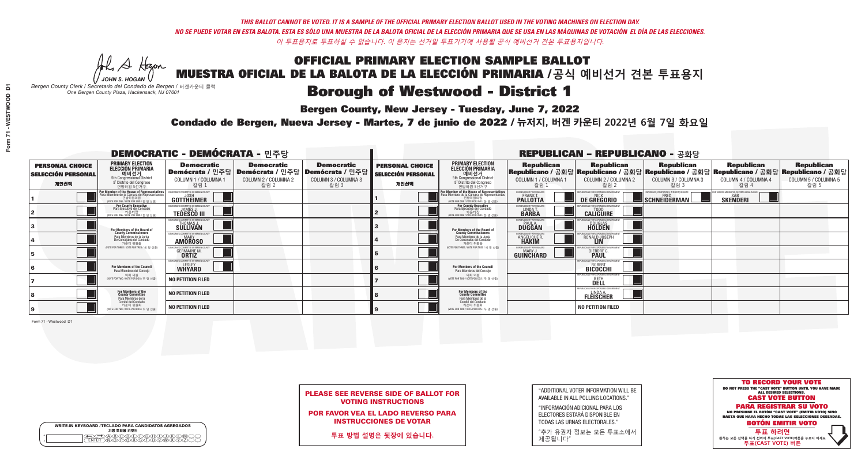A Hogen *JOHN S. HOGAN*

| <b>WRITE-IN KEYBOARD /TECLADO PARA CANDIDATOS AGREGADOS</b><br>기명 투표용 키보드 |  |
|---------------------------------------------------------------------------|--|
| DOODECOODOO                                                               |  |

# Borough of Westwood - District 1

**Bergen County, New Jersey - Tuesday, June 7, 2022** 

*Bergen County Clerk / Secretario del Condado de Bergen /* 버겐카운티 클럭 *One Bergen County Plaza, Hackensack, NJ 07601*

Condado de Bergen, Nueva Jersey - Martes, 7 de junio de 2022 / 뉴저지, 버겐 카운티 2022년 6월 7일 화요일 *One Bergen County Plaza, Hackensack, NJ 07601*



| <b>PLEASE SEE REVERSE SIDE OF BALLOT FOR</b> |  |
|----------------------------------------------|--|
| <b>VOTING INSTRUCTIONS</b>                   |  |

POR FAVOR VEA EL LADO REVERSO PARA INSTRUCCIONES DE VOTAR

**투표 방법 설명은 뒷장에 있습니다.**

| "ADDITIONAL VOTER INFORMATION WILL BE |
|---------------------------------------|
| AVAILABLE IN ALL POLLING LOCATIONS."  |

"INFORMACIÓN ADICIONAL PARA LOS ELECTORES ESTARÁ DISPONIBLE EN TODAS LAS URNAS ELECTORALES."

"추가 유권자 정보는 모든 투표소에서 제공됩니다"

| <b>DEMOCRATIC - DEMÓCRATA - 민주당</b>                         |                                                                                                                                             |                                                                                                        |                                                   |                                                   |                                                             |                                                                                                                                               |                                                              | <b>REPUBLICAN - REPUBLICANO - 공화당</b>                                                                                                          |                                                          |                                                             |                                                   |
|-------------------------------------------------------------|---------------------------------------------------------------------------------------------------------------------------------------------|--------------------------------------------------------------------------------------------------------|---------------------------------------------------|---------------------------------------------------|-------------------------------------------------------------|-----------------------------------------------------------------------------------------------------------------------------------------------|--------------------------------------------------------------|------------------------------------------------------------------------------------------------------------------------------------------------|----------------------------------------------------------|-------------------------------------------------------------|---------------------------------------------------|
| <b>PERSONAL CHOICE</b><br><b>SELECCIÓN PERSONAL</b><br>개인선택 | <b>PRIMARY ELECTION</b><br><b>ELECCIÓN PRIMARIA</b><br>예비선거<br>5th Congressional District<br>5° Distrito del Congreso<br>연방하원 5선거구          | <b>Democratic</b><br>│Demócrata / 민주당│Demócrata / 민주당│Demócrata / 민주당┃<br>COLUMN 1 / COLUMNA 1<br>칼럼 : | <b>Democratic</b><br>COLUMN 2 / COLUMNA 2<br>칼럼 2 | <b>Democratic</b><br>COLUMN 3 / COLUMNA 3<br>칼럼 3 | <b>PERSONAL CHOICE</b><br><b>SELECCIÓN PERSONAL</b><br>개인선택 | <b>PRIMARY ELECTION</b><br>ELECCIÓN PRIMARIA<br>예비선거<br>5th Congressional District<br>5° Distrito del Congreso<br>연방하원 5선거구                   | <b>Republican</b><br>COLUMN 1 / COLUMNA 1<br>칼럼              | <b>Republican</b><br>Republicano / 공화당 Republicano / 공화당 Republicano / 공화당 Republicano / 공화당 Republicano / 공화당<br>COLUMN 2 / COLUMNA 2<br>칼럼 2 | <b>Republican</b><br>COLUMN 3 / COLUMNA 3<br>칼럼 3        | <b>Republican</b><br>COLUMN 4 / COLUMNA 4<br>칼럼 4           | <b>Republican</b><br>COLUMN 5 / COLUMNA 5<br>칼럼 5 |
|                                                             | or Member of the House of Representatives<br>ara Miembro de la Cámara de Representantes<br>연방하원의원<br>(VOTE FOR ONE / VOTE POR UNO / 한 명 선출) | <b>GOTTHEIMER</b>                                                                                      |                                                   |                                                   |                                                             | For Member of the House of Representatives<br>Para Miembro de la Cámara de Representantes<br>연방하원의원<br>(VOTE FOR ONE / VOTE POR UNO / 한 명 선출) | BERGEN COUNTY REPUBLICAN<br><b>PALLOTTA</b>                  | DE GREGORIO                                                                                                                                    | PERIENCE, COMPETENCE, INTEGRITY, RESULTS<br>SCHNEIDERMAN | VACCINE MANDATES, DEPORT ILLEGAL ALIENS.<br><b>SKENDERI</b> |                                                   |
|                                                             | <b>For County Executive</b><br>Para Ejecutivo del Condado<br>. 카운티장<br>(VOTE FOR ONE / VOTE POR UNO / 한 명 선출)                               | <b>EMOCRATIC COMMITTEE OF BERGEN COUNTY</b><br><b>TEDESCO III</b>                                      |                                                   |                                                   |                                                             | For County Executive<br>Para Ejecutivo del Condado<br>카운티장<br>(VOTE FOR ONE / VOTE POR UNO / 한 명 선출)                                          | BERGEN COUNTY REPUBLICAN<br>LINDA T.                         | <b>CALIGUIRE</b>                                                                                                                               |                                                          |                                                             |                                                   |
|                                                             | For Members of the Board of<br>County Commissioners                                                                                         | MOCRATIC COMMITTEE OF BERGEN COUNTY<br>THOMAS J.                                                       |                                                   |                                                   |                                                             | For Members of the Board of<br>County Commissioners                                                                                           | ERGEN COUNTY REPUBLICAN<br><b>DUGGAN</b>                     | <b>DOUGLAS</b>                                                                                                                                 |                                                          |                                                             |                                                   |
|                                                             | Para Miembros de la Junta<br>De Concejales del Condado<br>카운티 위원들                                                                           | MOCRATIC COMMITTEE OF BERGEN COUNTY<br><b>MARY</b><br><b>AMOROSO</b>                                   |                                                   |                                                   |                                                             | Para Miembros de la Junta<br>De Concejales del Condado<br>카우티 위원들                                                                             | <b>RGEN COUNTY REPUBLICAN</b><br>ANGELIQUE R<br><b>HAKIM</b> | RONALD JOSEPH                                                                                                                                  |                                                          |                                                             |                                                   |
|                                                             | NOTE FOR THREE / VOTE POR TRES / 세 명 선출                                                                                                     | ATIC COMMITTEE OF BERGEN COUN<br><b>GERMAINE M.</b>                                                    |                                                   |                                                   |                                                             | (VOTE FOR THREE / VOTE POR TRES / 세 명 선출)                                                                                                     | ERGEN COUNTY REPUBLICANS<br>MARY J<br>GUINCHARD              | S FOR RESPONSIBI E G<br><b>DIERDRE G</b><br><b>PAUL</b>                                                                                        |                                                          |                                                             |                                                   |
|                                                             | For Members of the Council<br>Para Miembros del Conceio                                                                                     | EMOCRATIC COMMITTEE OF BERGEN COUNTY<br><b>WHYARD</b>                                                  |                                                   |                                                   |                                                             | For Members of the Council<br>Para Miembros del Conceio                                                                                       |                                                              | PUBLICANS FOR RESPONSIBLE GOVERNMENT<br><b>BICOCCHI</b>                                                                                        |                                                          |                                                             |                                                   |
|                                                             | 의회 의원<br>(VOTE FOR TWO / VOTE POR DOS / 두 명 선출                                                                                              | NO PETITION FILED                                                                                      |                                                   |                                                   |                                                             | 의회 의원<br>NOTE FOR TWO / VOTE POR DOS / 두 명 선출)                                                                                                |                                                              | PUBLICANS FOR RESPONSIBI E GOVERNMEN<br>DELL                                                                                                   |                                                          |                                                             |                                                   |
|                                                             | For Members of the<br>County Committee<br>Para Miembros de la                                                                               | <b>NO PETITION FILED</b>                                                                               |                                                   |                                                   |                                                             | For Members of the<br>County Committee<br>Para Miembros de la<br>Comité del Condado                                                           |                                                              | EPUBLICANS FOR RESPONSIBLE<br><b>FLEISCHER</b>                                                                                                 |                                                          |                                                             |                                                   |
|                                                             | Comité del Condado<br>카운티 위원회<br>NOTE FOR TWO / VOTE POR DOS / 두 명 선출)                                                                      | <b>NO PETITION FILED</b>                                                                               |                                                   |                                                   |                                                             | 카운티 위원회<br>NOTE FOR TWO / VOTE POR DOS / 두 명 선출)                                                                                              |                                                              | <b>NO PETITION FILED</b>                                                                                                                       |                                                          |                                                             |                                                   |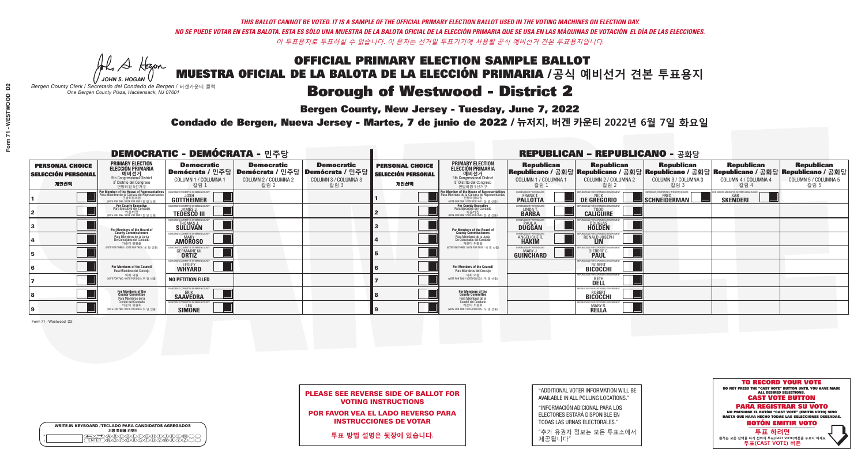A Hogen *JOHN S. HOGAN*

| <b>WRITE-IN KEYBOARD /TECLADO PARA CANDIDATOS AGREGADOS</b><br>기명 투표용 키보드 |  |
|---------------------------------------------------------------------------|--|
| VBCODE/F/G/F/D/<br><b>DÕÃÃÃÃ</b>                                          |  |

# Borough of Westwood - District 2

**Bergen County, New Jersey - Tuesday, June 7, 2022** 

*Bergen County Clerk / Secretario del Condado de Bergen /* 버겐카운티 클럭 *One Bergen County Plaza, Hackensack, NJ 07601*



PLEASE SEE REVERSE SIDE OF BALLOT FOR VOTING INSTRUCTIONS

POR FAVOR VEA EL LADO REVERSO PARA INSTRUCCIONES DE VOTAR

**투표 방법 설명은 뒷장에 있습니다.**

"ADDITIONAL VOTER INFORMATION WILL BE AVAILABLE IN ALL POLLING LOCATIONS."

"INFORMACIÓN ADICIONAL PARA LOS ELECTORES ESTARÁ DISPONIBLE EN TODAS LAS URNAS ELECTORALES."

"추가 유권자 정보는 모든 투표소에서 제공됩니다"

Condado de Bergen, Nueva Jersey - Martes, 7 de junio de 2022 / 뉴저지, 버겐 카운티 2022년 6월 7일 화요일 *One Bergen County Plaza, Hackensack, NJ 07601*

| <b>DEMOCRATIC - DEMÓCRATA - 민주당</b>                         |                                                                                                                                                      |                                                                    |                                                   |                                                                                                        |                                                             |                                                                                                                                              |                                                            | <b>REPUBLICAN - REPUBLICANO - 공화당</b>                                                                                                          |                                                   |                                                                 |                                                   |
|-------------------------------------------------------------|------------------------------------------------------------------------------------------------------------------------------------------------------|--------------------------------------------------------------------|---------------------------------------------------|--------------------------------------------------------------------------------------------------------|-------------------------------------------------------------|----------------------------------------------------------------------------------------------------------------------------------------------|------------------------------------------------------------|------------------------------------------------------------------------------------------------------------------------------------------------|---------------------------------------------------|-----------------------------------------------------------------|---------------------------------------------------|
| <b>PERSONAL CHOICE</b><br><b>SELECCIÓN PERSONAL</b><br>개인선택 | <b>PRIMARY ELECTION</b><br><b>ELECCIÓN PRIMARIA</b><br>예비선거<br>5th Congressional District<br>5° Distrito del Congreso<br>연방하원 5선거구                   | <b>Democratic</b><br>COLUMN 1 / COLUMNA 1<br>칼럼 :                  | <b>Democratic</b><br>COLUMN 2 / COLUMNA 2<br>칼럼 2 | <b>Democratic</b><br>│Demócrata / 민주당│Demócrata / 민주당│Demócrata / 민주당│<br>COLUMN 3 / COLUMNA 3<br>칼럼 3 | <b>PERSONAL CHOICE</b><br><b>SELECCIÓN PERSONAL</b><br>개인선택 | <b>PRIMARY ELECTION</b><br><b>ELECCIÓN PRIMARIA</b><br>예비선거<br>5th Congressional District<br>5° Distrito del Congreso<br>연방하원 5선거구           | <b>Republican</b><br>COLUMN 1 / COLUMNA 1<br>칼럼            | <b>Republican</b><br>Republicano / 공화당 Republicano / 공화당 Republicano / 공화당 Republicano / 공화당 Republicano / 공화당<br>COLUMN 2 / COLUMNA 2<br>칼럼 2 | <b>Republican</b><br>COLUMN 3 / COLUMNA 3<br>칼럼 3 | <b>Republican</b><br>COLUMN 4 / COLUMNA 4<br>칼럼 4               | <b>Republican</b><br>COLUMN 5 / COLUMNA 5<br>칼럼 5 |
|                                                             | <b>For Member of the House of Representatives</b><br>Para Miembro de la Cámara de Representantes<br>연방하원의원<br>(VOTE FOR ONE / VOTE POR UNO / 한 명 선출) | DEMOCRATIC COMMITTEE OF BERGEN COUNTY<br>JOSH<br><b>GOTTHEIMER</b> |                                                   |                                                                                                        |                                                             | For Member of the House of Representatives<br>Para Miembro de la Cámara de Representantes<br>연방하원의원<br>(VOTE FOR ONE / VOTE POR UNO / 한 명 선출 | BERGEN COUNTY REPUBLICANS<br>FRANK T.<br><b>PALLOTTA</b>   | DE GREGORIO                                                                                                                                    | SCHNEIDERMAN                                      | D VACCINE MANDATES, DEPORT ILLEGAL ALIENS. [<br><b>SKENDERI</b> |                                                   |
|                                                             | For County Executive<br>Para Ejecutivo del Condado<br>가운티장 - 카운티장<br>(VOTE FOR ONE / VOTE POR UNO / 한 명 선출)                                          | )EMOCRATIC COMMITTEE OF BERGEN COUNT<br><b>TEDESCO III</b>         |                                                   |                                                                                                        |                                                             | <b>For County Executive</b><br>Para Ejecutivo del Condado<br>가운티상<br>(VOTE FOR ONE / VOTE POR UNO / 한 명 선출)                                  | BERGEN COUNTY REPUBLICAN<br>LINDAT.                        | <b>CALIGUIRE</b>                                                                                                                               |                                                   |                                                                 |                                                   |
|                                                             | For Members of the Board of<br>County Commissioners                                                                                                  | MOCRATIC COMMITTEE OF BERGEN COUNT<br><b>SULLIVAN</b>              |                                                   |                                                                                                        |                                                             | For Members of the Board of<br>County Commissioners                                                                                          | ERGEN COUNTY REPUBLICAN<br><b>PAUL A.</b><br><b>DUGGAN</b> | DOUGLAS<br>HOLDEN                                                                                                                              |                                                   |                                                                 |                                                   |
|                                                             | Para Miembros de la Junta<br>De Concejales del Condado<br>카운티 위원들                                                                                    | <b>10CRATIC COMMITTEE OF BERGEN COUNTY</b><br><b>AMOROSO</b>       |                                                   |                                                                                                        |                                                             | Para Miembros de la Junta<br>De Concejales del Condado<br>카우티 위원들                                                                            | ERGEN COUNTY REPUBLICAN<br>ANGELIQUE R                     | RONALD JOSEPH                                                                                                                                  |                                                   |                                                                 |                                                   |
|                                                             | NOTE FOR THREE / VOTE POR TRES / 세 명 선출)                                                                                                             | RATIC COMMITTEE OF BERGEN COUN'<br><b>GERMAINE M.</b>              |                                                   |                                                                                                        |                                                             | NOTE FOR THREE / VOTE POR TRES / 세 명 선출                                                                                                      | ERGEN COUNTY REPUBLICANS<br>MARY J.<br>GUINCHARD           | <b>DIERDRE</b> Q                                                                                                                               |                                                   |                                                                 |                                                   |
|                                                             | For Members of the Council<br>Para Miembros del Conceio                                                                                              | 10CRATIC COMMITTEE OF BERGEN CO<br><b>WHYARD</b>                   |                                                   |                                                                                                        |                                                             | For Members of the Council<br>Para Miembros del Conceio                                                                                      |                                                            | FOR RESPONSIBLE GO<br><b>BICOCCHI</b>                                                                                                          |                                                   |                                                                 |                                                   |
|                                                             | 의회 의원<br>(VOTE FOR TWO / VOTE POR DOS / 두 명 선출                                                                                                       | <b>NO PETITION FILED</b>                                           |                                                   |                                                                                                        |                                                             | 의회 의원<br>(VOTE FOR TWO / VOTE POR DOS / 두 명 선출)                                                                                              |                                                            | <b>EPUBLICANS FOR RESPONSIBLE GOVERNMENT</b><br>DELL                                                                                           |                                                   |                                                                 |                                                   |
|                                                             | For Members of the<br>County Committee<br>Para Miembros de la                                                                                        | MOCRATIC COMMITTEE OF BERGEN COUNTY<br><b>SAAVEDRA</b>             |                                                   |                                                                                                        |                                                             | For Members of the<br>County Committee<br>Para Miembros de la<br>Comité del Condado                                                          |                                                            | FPUBLICANS FOR RESPONSIBLE GI<br><b>ROBERT</b><br><b>BICOCCHI</b>                                                                              |                                                   |                                                                 |                                                   |
|                                                             | Comité del Condado<br>카운티 위원회<br>(VOTE FOR TWO / VOTE POR DOS / 두 명 선출)                                                                              | EMOCRATIC COMMITTEE OF RERGEN COLINT<br><b>SIMONE</b>              |                                                   |                                                                                                        |                                                             | 카운티 위원회<br>WOTE FOR TWO / VOTE POR DOS / 두 명 선출)                                                                                             |                                                            | PUBLICANS FOR RESPONSIBLE GO<br><b>MARY R.</b><br><b>RELLA</b>                                                                                 |                                                   |                                                                 |                                                   |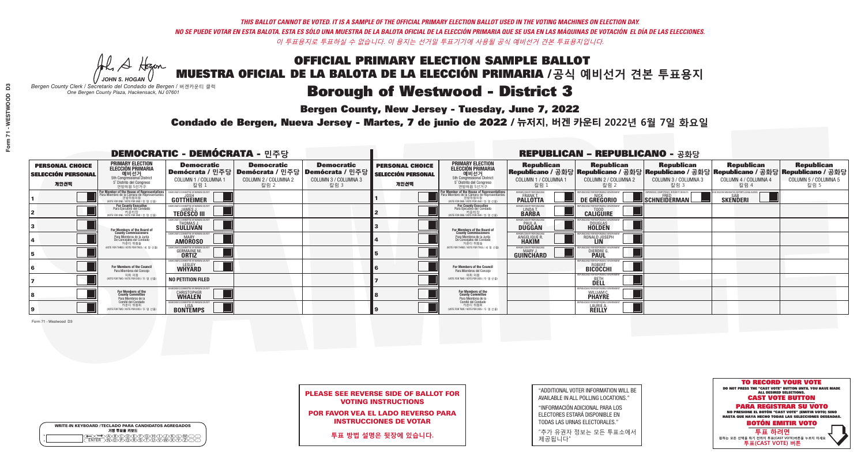A Hogen *JOHN S. HOGAN*

| <b>WRITE-IN KEYBOARD /TECLADO PARA CANDIDATOS AGREGADOS</b><br>기명 투표용 키보드 |  |
|---------------------------------------------------------------------------|--|
| VBCODE/F/G/F/D/<br><b>DÕÃÃÃÃ</b>                                          |  |

# Borough of Westwood - District 3

**Bergen County, New Jersey - Tuesday, June 7, 2022** 

*Bergen County Clerk / Secretario del Condado de Bergen /* 버겐카운티 클럭 *One Bergen County Plaza, Hackensack, NJ 07601*



| <b>PLEASE SEE REVERSE SIDE OF BALLOT FOR</b> |
|----------------------------------------------|
| <b>VOTING INSTRUCTIONS</b>                   |

POR FAVOR VEA EL LADO REVERSO PARA INSTRUCCIONES DE VOTAR

**투표 방법 설명은 뒷장에 있습니다.**

| "ADDITIONAL VOTER INFORMATION WILL BE |
|---------------------------------------|
| AVAILABLE IN ALL POLLING LOCATIONS."  |

"INFORMACIÓN ADICIONAL PARA LOS ELECTORES ESTARÁ DISPONIBLE EN TODAS LAS URNAS ELECTORALES."

"추가 유권자 정보는 모든 투표소에서 제공됩니다"

Condado de Bergen, Nueva Jersey - Martes, 7 de junio de 2022 / 뉴저지, 버겐 카운티 2022년 6월 7일 화요일 *One Bergen County Plaza, Hackensack, NJ 07601*

| <b>DEMOCRATIC - DEMÓCRATA - 민주당</b>                         |                                                                                                                                                  |                                                                     |                                                   |                                                                                                        |                                                             |                                                                                                                                                       |                                                               | <b>REPUBLICAN - REPUBLICANO - 공화당</b>                      |                                                                                                                                                |                                                            |                                                   |
|-------------------------------------------------------------|--------------------------------------------------------------------------------------------------------------------------------------------------|---------------------------------------------------------------------|---------------------------------------------------|--------------------------------------------------------------------------------------------------------|-------------------------------------------------------------|-------------------------------------------------------------------------------------------------------------------------------------------------------|---------------------------------------------------------------|------------------------------------------------------------|------------------------------------------------------------------------------------------------------------------------------------------------|------------------------------------------------------------|---------------------------------------------------|
| <b>PERSONAL CHOICE</b><br><b>SELECCIÓN PERSONAL</b><br>개인선택 | <b>PRIMARY ELECTION</b><br><b>ELECCIÓN PRIMARIA</b><br>예비선거<br><sup>6</sup> 예비선거<br>5° Distrito del Congreso<br>연방하원 5선거구                        | <b>Democratic</b><br>COLUMN 1 / COLUMNA<br>칼럼 :                     | <b>Democratic</b><br>COLUMN 2 / COLUMNA 2<br>칼럼 2 | <b>Democratic</b><br>│Demócrata / 민주당│Demócrata / 민주당│Demócrata / 민주당┃<br>COLUMN 3 / COLUMNA 3<br>칼럼 3 | <b>PERSONAL CHOICE</b><br><b>SELECCIÓN PERSONAL</b><br>개인선택 | <b>PRIMARY ELECTION</b><br>ELECCIÓN PRIMARIA<br>예비선거<br>5th Congressional District<br>5° Distrito del Congreso<br>연방하원 5선거구                           | <b>Republican</b><br>COLUMN 1 / COLUMNA 1<br>칼럼               | <b>Republican</b><br>COLUMN 2 / COLUMNA 2<br>칼럼 2          | <b>Republican</b><br>Republicano / 공화당 Republicano / 공화당 Republicano / 공화당 Republicano / 공화당 Republicano / 공화당<br>COLUMN 3 / COLUMNA 3<br>칼럼 3 | <b>Republican</b><br>COLUMN 4 / COLUMNA 4<br>칼럼 4          | <b>Republican</b><br>COLUMN 5 / COLUMNA 5<br>칼럼 5 |
|                                                             | <b>r Member of the House of Representatives</b><br>ra Miembro de la Cámara de Representantes<br>연방하원의원<br>(VOTE FOR ONE / VOTE POR UNO / 한 명 선출) | DEMOCRATIC COMMITTEE OF BERGEN CO<br>GOTTHEIMER                     |                                                   |                                                                                                        |                                                             | <b>For Member of the House of Representatives<br/>Para Miembro de la Cámara de Representantes</b><br>연방하원의원<br>(VOTE FOR ONE / VOTE POR UNO / 한 명 선출) | ERGEN COUNTY REPUBLICAN<br><b>FRANK T.</b><br><b>PALLOTTA</b> | DE GREGORIO                                                | PERIENCE. COMPETENCE. INTEGRITY. RESULTS<br>$\blacksquare$ Schneiderman $\mathsf L$                                                            | VACCINE MANDATES, DEPORT ILLEGAL ALIENS<br><b>SKENDERI</b> |                                                   |
|                                                             | <b>For County Executive</b><br>Para Ejecutivo del Condado<br>7 카운티장<br>(VOTE FOR ONE / VOTE POR UNO / 한 명 선출)                                    | JEMOCRATIC COMMITTEE OF BERGEN COUNTY<br><b>TEDESCO III</b>         |                                                   |                                                                                                        |                                                             | For County Executive<br>Para Ejecutivo del Condado<br>7) 카운티장<br>(VOTE FOR ONE / VOTE POR UNO / 한 명 선출                                                | BERGEN COUNTY REPUBLICAN<br>LINDA T.                          | <b>CALIGUIRE</b>                                           |                                                                                                                                                |                                                            |                                                   |
|                                                             | <b>For Members of the Board of<br/>County Commissioners</b>                                                                                      | MOCRATIC COMMITTEE OF BERGEN COUNTY<br>THOMAS J.                    |                                                   |                                                                                                        |                                                             | For Members of the Board of<br>County Commissioners                                                                                                   | ERGEN COUNTY REPUBLICAN<br><b>DUGGAN</b>                      | <b>DOUGLAS</b><br><b>HOLDEN</b>                            |                                                                                                                                                |                                                            |                                                   |
|                                                             | Para Miembros de la Junta<br>De Concejales del Condado<br>카우티 위원들                                                                                | )CRATIC COMMITTEE OF BERGEN COUNTY<br><b>MARY</b><br><b>AMOROSO</b> |                                                   |                                                                                                        |                                                             | Para Miembros de la Junta<br>De Concejales del Condado<br>카우티 위원들                                                                                     | ERGEN COUNTY REPUBLICAN<br><b>ANGELIQUE F</b><br><b>HAKIM</b> | RONALD JOSEPH                                              |                                                                                                                                                |                                                            |                                                   |
|                                                             | NOTE FOR THREE / VOTE POR TRES / 세 명 선출)                                                                                                         | RATIC COMMITTEE OF BERGEN CO:<br><b>GERMAINE M.</b>                 |                                                   |                                                                                                        |                                                             | (VOTE FOR THREE / VOTE POR TRES / 세 명 선출)                                                                                                             | ERGEN COUNTY REPUBLICANS<br>MARY J<br>GUINCHARD               | FOR RESPONSIBLE GO<br><b>DIERDRE</b> O                     |                                                                                                                                                |                                                            |                                                   |
|                                                             | For Members of the Council<br>Para Miembros del Conceio                                                                                          | MOCRATIC COMMITTEE OF BERGEN CO<br><b>WHYARD</b>                    |                                                   |                                                                                                        |                                                             | For Members of the Council<br>Para Miembros del Conceio                                                                                               |                                                               | PUBLICANS FOR RESPONSIBLE GO<br><b>BICOCCHI</b>            |                                                                                                                                                |                                                            |                                                   |
|                                                             | 의회 의원<br>NOTE FOR TWO / VOTE POR DOS / 두 명 선출                                                                                                    | <b>NO PETITION FILED</b>                                            |                                                   |                                                                                                        |                                                             | 의회 의원<br>NOTE FOR TWO / VOTE POR DOS / 두 명 선출)                                                                                                        |                                                               | EPUBLICANS FOR RESPONSIBLE GOVERNMEN<br>DELL               |                                                                                                                                                |                                                            |                                                   |
|                                                             | For Members of the<br>County Committee<br>Para Miembros de la                                                                                    | <b>MOCRATIC COMMITTEE OF BERGEN COUNTY</b><br><b>CHRISTOPHER</b>    |                                                   |                                                                                                        |                                                             | For Members of the<br>County Committee<br>Para Miembros de la<br>Comité del Condado                                                                   |                                                               | UBI ICANS FOR RESPONSIBI E G<br>WILLIAM (<br><b>PHAYRE</b> |                                                                                                                                                |                                                            |                                                   |
|                                                             | Comité del Condado<br>카운티 위원회<br>(VOTE FOR TWO / VOTE POR DOS / 두 명 선출)                                                                          | EMOCRATIC COMMITTEE OF BERGEN COUNT<br><b>BONTEMPS</b>              |                                                   |                                                                                                        |                                                             | 카운티 위원회<br>NOTE FOR TWO / VOTE POR DOS / 두 명 선출)                                                                                                      |                                                               | PUBLICANS FOR RESPONSIBLE GO<br>LAURIE A.<br><b>REILLY</b> |                                                                                                                                                |                                                            |                                                   |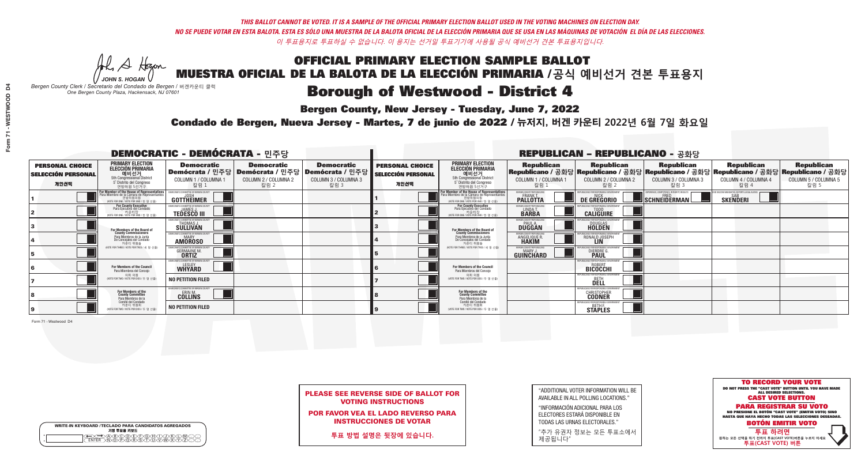A Hogen *JOHN S. HOGAN*

| <b>WRITE-IN KEYBOARD /TECLADO PARA CANDIDATOS AGREGADOS</b><br>기명 투표용 키보드 |
|---------------------------------------------------------------------------|
| .)(B)C)(D)(E)(F)(G)(H)(T)(<br><u>እቅነሽነጅ የአገ</u>                           |

# Borough of Westwood - District 4

**Bergen County, New Jersey - Tuesday, June 7, 2022** 

*Bergen County Clerk / Secretario del Condado de Bergen /* 버겐카운티 클럭 *One Bergen County Plaza, Hackensack, NJ 07601*

Condado de Bergen, Nueva Jersey - Martes, 7 de junio de 2022 / 뉴저지, 버겐 카운티 2022년 6월 7일 화요일 *One Bergen County Plaza, Hackensack, NJ 07601*



PLEASE SEE REVERSE SIDE OF BALLOT FOR VOTING INSTRUCTIONS

POR FAVOR VEA EL LADO REVERSO PARA INSTRUCCIONES DE VOTAR

**투표 방법 설명은 뒷장에 있습니다.**

"ADDITIONAL VOTER INFORMATION WILL BE AVAILABLE IN ALL POLLING LOCATIONS."

"INFORMACIÓN ADICIONAL PARA LOS ELECTORES ESTARÁ DISPONIBLE EN TODAS LAS URNAS ELECTORALES."

"추가 유권자 정보는 모든 투표소에서 제공됩니다"

| <b>DEMOCRATIC - DEMÓCRATA - 민주당</b>                         |                                                                                                                                             |                                                                          |                                                   |                                                                                                        |                                                             |                                                                                                                                               |                                                            | <b>REPUBLICAN - REPUBLICANO - 공화당</b>             |                                                                                                                                                |                                                             |                                                   |
|-------------------------------------------------------------|---------------------------------------------------------------------------------------------------------------------------------------------|--------------------------------------------------------------------------|---------------------------------------------------|--------------------------------------------------------------------------------------------------------|-------------------------------------------------------------|-----------------------------------------------------------------------------------------------------------------------------------------------|------------------------------------------------------------|---------------------------------------------------|------------------------------------------------------------------------------------------------------------------------------------------------|-------------------------------------------------------------|---------------------------------------------------|
| <b>PERSONAL CHOICE</b><br><b>SELECCIÓN PERSONAL</b><br>개인선택 | <b>PRIMARY ELECTION</b><br><b>ELECCIÓN PRIMARIA</b><br>예비선거<br>5th Congressional District<br>5° Distrito del Congreso<br>연방하원 5선거구          | <b>Democratic</b><br>COLUMN 1 / COLUMNA 1<br>칼럼 :                        | <b>Democratic</b><br>COLUMN 2 / COLUMNA 2<br>칼럼 2 | <b>Democratic</b><br>│Demócrata / 민주당│Demócrata / 민주당│Demócrata / 민주당┃<br>COLUMN 3 / COLUMNA 3<br>칼럼 3 | <b>PERSONAL CHOICE</b><br><b>SELECCIÓN PERSONAL</b><br>개인선택 | <b>PRIMARY ELECTION</b><br>ELECCIÓN PRIMARIA<br>예비선거<br>5th Congressional District<br>5° Distrito del Congreso<br>연방하원 5선거구                   | <b>Republican</b><br>COLUMN 1 / COLUMNA 1<br>칼럼            | <b>Republican</b><br>COLUMN 2 / COLUMNA 2<br>칼럼 2 | <b>Republican</b><br>Republicano / 공화당 Republicano / 공화당 Republicano / 공화당 Republicano / 공화당 Republicano / 공화당<br>COLUMN 3 / COLUMNA 3<br>칼럼 3 | <b>Republican</b><br>COLUMN 4 / COLUMNA 4<br>칼럼 4           | <b>Republican</b><br>COLUMN 5 / COLUMNA 5<br>칼럼 5 |
|                                                             | or Member of the House of Representatives<br>ara Miembro de la Cámara de Representantes<br>연방하원의원<br>(VOTE FOR ONE / VOTE POR UNO / 한 명 선출) | GOTTHEIMER                                                               |                                                   |                                                                                                        |                                                             | For Member of the House of Representatives<br>Para Miembro de la Cámara de Representantes<br>연방하원의원<br>(VOTE FOR ONE / VOTE POR UNO / 한 명 선출) | BERGEN COUNTY REPUBLICANS<br>FRANK T.<br><b>PALLOTTA</b>   | DE GREGORIO                                       | PERIENCE, COMPETENCE, INTEGRITY, RESULTS<br>SCHNEIDERMAN                                                                                       | VACCINE MANDATES, DEPORT ILLEGAL ALIENS.<br><b>SKENDERI</b> |                                                   |
|                                                             | <b>For County Executive</b><br>Para Ejecutivo del Condado<br>기운티장<br>(VOTE FOR ONE / VOTE POR UNO / 한 명 선출)                                 | DEMOCRATIC COMMITTEE OF BERGEN COUNTY<br><b>TEDESCO III</b>              |                                                   |                                                                                                        |                                                             | For County Executive<br>Para Ejecutivo del Condado<br>카운티장<br>(WOTE FOR ONE / VOTE POR UNO / 한 명 선출)                                          | BERGEN COUNTY REPUBLICAN<br>LINDA T.<br><b>BARBA</b>       | <b>CALIGUIRE</b>                                  |                                                                                                                                                |                                                             |                                                   |
|                                                             | <b>For Members of the Board of<br/>County Commissioners</b>                                                                                 | <b><i>MOCRATIC COMMITTEE OF BERGEN COUNT</i></b><br>THOMAS J.            |                                                   |                                                                                                        |                                                             | For Members of the Board of<br>County Commissioners                                                                                           | ERGEN COUNTY REPUBLICAN<br><b>PAUL A.</b><br><b>DUGGAN</b> | <b>DOUGLAS</b>                                    |                                                                                                                                                |                                                             |                                                   |
|                                                             | Para Miembros de la Junta<br>De Concejales del Condado<br>카우티 위원들                                                                           | <b>CRATIC COMMITTEE OF BERGEN COUNT</b><br><b>MARY</b><br><b>AMOROSO</b> |                                                   |                                                                                                        |                                                             | Para Miembros de la Junta<br>De Concejales del Condado<br>카우티 위원들                                                                             | RGEN COUNTY REPUBLICAN<br><b>ANGELIQUE R</b>               | RONALD JOSEPH                                     |                                                                                                                                                |                                                             |                                                   |
|                                                             | NOTE FOR THREE / VOTE POR TRES / 세 명 선출)                                                                                                    | ATIC COMMITTEE OF BERGEN COU<br><b>GERMAINE M.</b>                       |                                                   |                                                                                                        |                                                             | (VOTE FOR THREE / VOTE POR TRES / 세 명 선출)                                                                                                     | ERGEN COUNTY REPUBLICANS<br>MARY J<br>GUINCHARD            | FNR RESPNNSIRI E 1<br><b>DIERDRE</b>              |                                                                                                                                                |                                                             |                                                   |
|                                                             | For Members of the Council<br>Para Miembros del Conceio                                                                                     | EMOCRATIC COMMITTEE OF BEBGEN COUNTY<br><b>WHYARD</b>                    |                                                   |                                                                                                        |                                                             | For Members of the Council<br>Para Miembros del Concejo                                                                                       |                                                            | HRI ICANS ENR RESPONSIRI E G<br><b>BICOCCHI</b>   |                                                                                                                                                |                                                             |                                                   |
|                                                             | 의회 의원<br>(VOTE FOR TWO / VOTE POR DOS / 두 명 선출                                                                                              | <b>NO PETITION FILED</b>                                                 |                                                   |                                                                                                        |                                                             | 의회 의원<br>NOTE FOR TWO / VOTE POR DOS / 두 명 선출)                                                                                                |                                                            | FPUBLICANS FOR RESPONSIBLE G<br>DELL              |                                                                                                                                                |                                                             |                                                   |
|                                                             | For Members of the<br>County Committee<br>Para Miembros de la                                                                               | CRATIC COMMITTEE OF BERGEN COUNT<br><b>COLLINS</b>                       |                                                   |                                                                                                        |                                                             | For Members of the<br>County Committee<br>Para Miembros de la<br>Comité del Condado                                                           |                                                            | <b>CHRISTOPHER</b>                                |                                                                                                                                                |                                                             |                                                   |
|                                                             | Comité del Condado<br>카운티 위원회<br>NOTE FOR TWO / VOTE POR DOS / 두 명 선출)                                                                      | <b>NO PETITION FILED</b>                                                 |                                                   |                                                                                                        |                                                             | 카운티 위원회<br>(VOTE FOR TWO / VOTE POR DOS / 두 명 선출)                                                                                             |                                                            | PUBLICANS FOR RESPONSIBLE G<br>STAPLES            |                                                                                                                                                |                                                             |                                                   |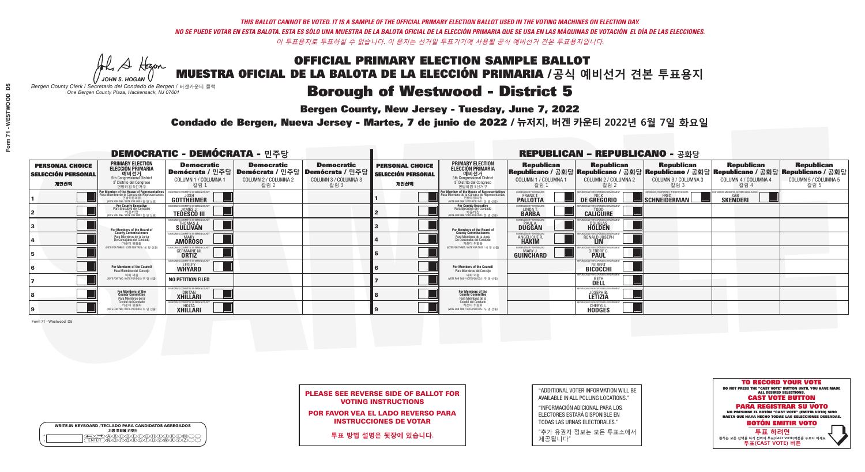A Hogen *JOHN S. HOGAN*

| <b>WRITE-IN KEYBOARD /TECLADO PARA CANDIDATOS AGREGADOS</b><br>기명 투표용 키보드 |  |
|---------------------------------------------------------------------------|--|
| VBCODE/F/G/F/D/<br><b>DÕÃÃÃÃ</b>                                          |  |

# Borough of Westwood - District 5

**Bergen County, New Jersey - Tuesday, June 7, 2022** 

*Bergen County Clerk / Secretario del Condado de Bergen /* 버겐카운티 클럭 *One Bergen County Plaza, Hackensack, NJ 07601*



PLEASE SEE REVERSE SIDE OF BALLOT FOR VOTING INSTRUCTIONS

POR FAVOR VEA EL LADO REVERSO PARA INSTRUCCIONES DE VOTAR

**투표 방법 설명은 뒷장에 있습니다.**

"ADDITIONAL VOTER INFORMATION WILL BE AVAILABLE IN ALL POLLING LOCATIONS."

"INFORMACIÓN ADICIONAL PARA LOS ELECTORES ESTARÁ DISPONIBLE EN TODAS LAS URNAS ELECTORALES."

"추가 유권자 정보는 모든 투표소에서 제공됩니다"

Condado de Bergen, Nueva Jersey - Martes, 7 de junio de 2022 / 뉴저지, 버겐 카운티 2022년 6월 7일 화요일 *One Bergen County Plaza, Hackensack, NJ 07601*

|                                                             | <b>DEMOCRATIC - DEMÓCRATA - 민주당</b>                                                                                                           |                                                                                |                                                   |                                                                                                        |                                                             | <b>REPUBLICAN - REPUBLICANO - 공화당</b>                                                                                                         |                                                                |                                                                 |                                                                                                                                                |                                                               |                                                   |
|-------------------------------------------------------------|-----------------------------------------------------------------------------------------------------------------------------------------------|--------------------------------------------------------------------------------|---------------------------------------------------|--------------------------------------------------------------------------------------------------------|-------------------------------------------------------------|-----------------------------------------------------------------------------------------------------------------------------------------------|----------------------------------------------------------------|-----------------------------------------------------------------|------------------------------------------------------------------------------------------------------------------------------------------------|---------------------------------------------------------------|---------------------------------------------------|
| <b>PERSONAL CHOICE</b><br><b>SELECCIÓN PERSONAL</b><br>개인선택 | <b>PRIMARY ELECTION</b><br><b>ELECCIÓN PRIMARIA</b><br>예비선거<br><sup>5th</sup> Congressional District<br>5° Distrito del Congreso<br>연방하원 5선거구 | <b>Democratic</b><br>COLUMN 1 / COLUMNA 1<br>칼럼 1                              | <b>Democratic</b><br>COLUMN 2 / COLUMNA 2<br>칼럼 2 | <b>Democratic</b><br>│Demócrata / 민주당│Demócrata / 민주당│Demócrata / 민주당│<br>COLUMN 3 / COLUMNA 3<br>칼럼 3 | <b>PERSONAL CHOICE</b><br><b>SELECCIÓN PERSONAL</b><br>개인선택 | <b>PRIMARY ELECTION</b><br><b>ELECCIÓN PRIMARIA</b><br>예비선거<br>5th Congressional District<br>5° Distrito del Congreso<br>연방하원 5선거구            | <b>Republican</b><br>COLUMN 1 / COLUMNA 1<br>칼럼 :              | <b>Republican</b><br>COLUMN 2 / COLUMNA 2<br>칼럼 2               | <b>Republican</b><br>Republicano / 공화당 Republicano / 공화당 Republicano / 공화당 Republicano / 공화당 Republicano / 공화당<br>COLUMN 3 / COLUMNA 3<br>칼럼 3 | <b>Republican</b><br>COLUMN 4 / COLUMNA 4<br>칼럼 4             | <b>Republican</b><br>COLUMN 5 / COLUMNA 5<br>칼럼 5 |
|                                                             | For Member of the House of Representatives<br>Para Miembro de la Cámara de Representantes<br>연방하원의원<br>WOTE FOR ONE / VOTE POR UNO / 한 명 선출   | DEMOCRATIC COMMITTEE OF BERGEN COUNTY<br>JOSH<br><b>GOTTHEIMER</b>             |                                                   |                                                                                                        |                                                             | For Member of the House of Representatives<br>Para Miembro de la Cámara de Representantes<br>연방하원의원<br>(VOTE FOR ONE / VOTE POR UNO / 한 명 선출) | BERGEN COUNTY REPUBLICANS<br>FRANK T.<br><b>PALLOTTA</b>       | DE GREGORIO                                                     | SCHNEIDERMAN                                                                                                                                   | ) VACCINE MANDATES, DEPORT ILLEGAL ALIENS.<br><b>SKENDERI</b> |                                                   |
|                                                             | For County Executive<br>Para Ejecutivo del Condado<br>. 카운티장<br>(VOTE FOR ONE / VOTE POR UNO / 한 명 선출)                                        | )EMOCRATIC COMMITTEE OF BERGEN COUNT<br><b>TEDESCO III</b>                     |                                                   |                                                                                                        |                                                             | <b>For County Executive</b><br>Para Ejecutivo del Condado<br>카운티장<br>(VOTE FOR ONE / VOTE POR UNO / 한 명 선출)                                   | BERGEN COUNTY REPUBLICAN<br>LINDAT.                            | <b>CALIGUIRE</b>                                                |                                                                                                                                                |                                                               |                                                   |
|                                                             | <b>For Members of the Board of<br/>County Commissioners</b>                                                                                   | MOCRATIC COMMITTEE OF BERGEN COUNT<br><b>THOMAS J.</b><br><b>SULLIVAN</b>      |                                                   |                                                                                                        |                                                             | For Members of the Board of<br>County Commissioners                                                                                           | ERGEN COUNTY REPUBLICAN<br><b>PAUL A.</b><br><b>DUGGAN</b>     | <b>DOUGLAS</b><br><b>HOLDEN</b>                                 |                                                                                                                                                |                                                               |                                                   |
|                                                             | Para Miembros de la Junta<br>De Concejales del Condado<br>카운티 위원들                                                                             | <b>10CRATIC COMMITTEE OF BERGEN COUNTY</b><br><b>AMOROSO</b>                   |                                                   |                                                                                                        |                                                             | Para Miembros de la Junta<br>De Concejales del Condado<br>카우티 위원들                                                                             | ERGEN COUNTY REPUBLICAN:<br><b>ANGELIQUE R</b><br><b>HAKIM</b> | RONALD JOSEPH                                                   |                                                                                                                                                |                                                               |                                                   |
|                                                             | NOTE FOR THREE / VOTE POR TRES / 세 명 선출)                                                                                                      | RATIC COMMITTEE OF BERGEN COUN<br><b>GERMAINE M.</b>                           |                                                   |                                                                                                        |                                                             | NOTE FOR THREE / VOTE POR TRES / 세 명 선출)                                                                                                      | ERGEN COUNTY REPUBLICANS<br>MARY J.<br>GUINCHARD               | <b>DIERDRE</b> Q                                                |                                                                                                                                                |                                                               |                                                   |
|                                                             | For Members of the Council<br>Para Miembros del Conceio                                                                                       | MOCRATIC COMMITTEE OF BEBGEN CO<br><b>WHYARD</b>                               |                                                   |                                                                                                        |                                                             | For Members of the Council<br>Para Miembros del Conceio                                                                                       |                                                                | S FOR RESPONSIBLE GO<br><b>BICOCCHI</b>                         |                                                                                                                                                |                                                               |                                                   |
|                                                             | 의회 의원<br>(VOTE FOR TWO / VOTE POR DOS / 두 명 선출                                                                                                | <b>NO PETITION FILED</b>                                                       |                                                   |                                                                                                        |                                                             | 의회 의원<br>(VOTE FOR TWO / VOTE POR DOS / 두 명 선출)                                                                                               |                                                                | FPUBLICANS FOR RESPONSIBLE GOVERNMEN<br><b>DELL</b>             |                                                                                                                                                |                                                               |                                                   |
|                                                             | For Members of the<br>County Committee<br>Para Miembros de la                                                                                 | <b>10CRATIC COMMITTEE OF BERGEN COUNTY</b><br><b>DRITAN</b><br><b>XHILLARI</b> |                                                   |                                                                                                        |                                                             | For Members of the<br>County Committee<br>Para Miembros de la<br>Comité del Condado                                                           |                                                                | REPUBLICANS FOR RESPONSIBLE<br><b>JOSEPH B.</b><br>LETIZIA      |                                                                                                                                                |                                                               |                                                   |
|                                                             | Comité del Condado<br>카운티 위원회<br>(VOTE FOR TWO / VOTE POR DOS / 두 명 선출)                                                                       | MOCRATIC COMMITTEE OF RERGEN COLINI<br><b>XHILLARI</b>                         |                                                   |                                                                                                        |                                                             | 카운티 위원회<br>WOTE FOR TWO / VOTE POR DOS / 두 명 선출)                                                                                              |                                                                | REPUBLICANS FOR RESPONSIBLE GOVE!<br><b>CHERYL L.</b><br>HODGES |                                                                                                                                                |                                                               |                                                   |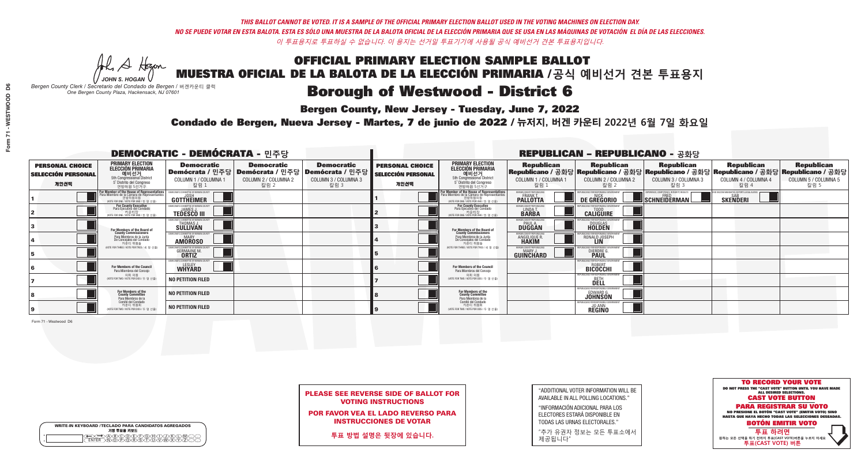A Hogen

| <b>WRITE-IN KEYBOARD /TECLADO PARA CANDIDATOS AGREGADOS</b><br>기명 투표용 키보드 |  |
|---------------------------------------------------------------------------|--|
| VBCODEXCORD<br>ዄ <u>ፙ፝፟፟</u> ቓሧ፝ዾቔጜዿ <sub>ዸ</sub>                         |  |

# Borough of Westwood - District 6

**Bergen County, New Jersey - Tuesday, June 7, 2022** 

*JOHN S. HOGAN Bergen County Clerk / Secretario del Condado de Bergen /* 버겐카운티 클럭 *One Bergen County Plaza, Hackensack, NJ 07601*

Condado de Bergen, Nueva Jersey - Martes, 7 de junio de 2022 / 뉴저지, 버겐 카운티 2022년 6월 7일 화요일 *One Bergen County Plaza, Hackensack, NJ 07601*



PLEASE SEE REVERSE SIDE OF BALLOT FOR VOTING INSTRUCTIONS

POR FAVOR VEA EL LADO REVERSO PARA INSTRUCCIONES DE VOTAR

**투표 방법 설명은 뒷장에 있습니다.**

| "ADDITIONAL VOTER INFORMATION WILL BE |
|---------------------------------------|
| AVAILABLE IN ALL POLLING LOCATIONS."  |

"INFORMACIÓN ADICIONAL PARA LOS ELECTORES ESTARÁ DISPONIBLE EN TODAS LAS URNAS ELECTORALES."

"추가 유권자 정보는 모든 투표소에서 제공됩니다"

| <b>DEMOCRATIC - DEMÓCRATA - 민주당</b>                         |                                                                                                                                             |                                                                    |                                                   |                                                                                                        |                                                             |                                                                                                                                               |                                                               | <b>REPUBLICAN - REPUBLICANO - 공화당</b>                            |                                                                                                                                                |                                                            |                                                   |
|-------------------------------------------------------------|---------------------------------------------------------------------------------------------------------------------------------------------|--------------------------------------------------------------------|---------------------------------------------------|--------------------------------------------------------------------------------------------------------|-------------------------------------------------------------|-----------------------------------------------------------------------------------------------------------------------------------------------|---------------------------------------------------------------|------------------------------------------------------------------|------------------------------------------------------------------------------------------------------------------------------------------------|------------------------------------------------------------|---------------------------------------------------|
| <b>PERSONAL CHOICE</b><br><b>SELECCIÓN PERSONAL</b><br>개인선택 | <b>PRIMARY ELECTION</b><br><b>ELECCIÓN PRIMARIA</b><br>예비선거<br>5th Congressional District<br>5° Distrito del Congreso<br>연방하원 5선거구          | <b>Democratic</b><br>COLUMN 1 / COLUMNA 1<br>칼럼 :                  | <b>Democratic</b><br>COLUMN 2 / COLUMNA 2<br>칼럼 2 | <b>Democratic</b><br>│Demócrata / 민주당│Demócrata / 민주당│Demócrata / 민주당┃<br>COLUMN 3 / COLUMNA 3<br>칼럼 3 | <b>PERSONAL CHOICE</b><br><b>SELECCIÓN PERSONAL</b><br>개인선택 | <b>PRIMARY ELECTION</b><br>ELECCIÓN PRIMARIA<br>예비선거<br>5th Congressional District<br>5° Distrito del Congreso<br>연방하원 5선거구                   | <b>Republican</b><br>COLUMN 1 / COLUMNA 1<br>칼럼               | <b>Republican</b><br>COLUMN 2 / COLUMNA 2<br>칼럼 2                | <b>Republican</b><br>Republicano / 공화당 Republicano / 공화당 Republicano / 공화당 Republicano / 공화당 Republicano / 공화당<br>COLUMN 3 / COLUMNA 3<br>칼럼 3 | <b>Republican</b><br>COLUMN 4 / COLUMNA 4<br>칼럼 4          | <b>Republican</b><br>COLUMN 5 / COLUMNA 5<br>칼럼 5 |
|                                                             | or Member of the House of Representatives<br>ara Miembro de la Cámara de Representantes<br>연방하원의원<br>(VOTE FOR ONE / VOTE POR UNO / 한 명 선출) | GOTTHEIMER                                                         |                                                   |                                                                                                        |                                                             | For Member of the House of Representatives<br>Para Miembro de la Cámara de Representantes<br>연방하원의원<br>(WOTE FOR ONE / VOTE POR UNO / 한 명 선출) | BERGEN COUNTY REPUBLICANS<br>FRANK T.<br><b>PALLOTTA</b>      | DE GREGORIO                                                      | PERIENCE. COMPETENCE. INTEGRITY. RESULTS<br>SCHNEIDERMAN                                                                                       | VACCINE MANDATES, DEPORT ILLEGAL ALIENS<br><b>SKENDERI</b> |                                                   |
|                                                             | <b>For County Executive</b><br>Para Ejecutivo del Condado<br>가운티장<br>(VOTE FOR ONE / VOTE POR UNO / 한 명 선출)                                 | DEMOCRATIC COMMITTEE OF BERGEN COUNTY<br><b>TEDESCO III</b>        |                                                   |                                                                                                        |                                                             | For County Executive<br>Para Ejecutivo del Condado<br>. 카운티장<br>(VOTE FOR ONE / VOTE POR UNO / 한 명 선출)                                        | BERGEN COUNTY REPUBLICAN<br>LINDA T.                          | <b>CALIGUIRE</b>                                                 |                                                                                                                                                |                                                            |                                                   |
|                                                             | For Members of the Board of<br>County Commissioners                                                                                         | <b><i>MOCRATIC COMMITTEE OF BERGEN COUNTY</i></b><br>THOMAS J.     |                                                   |                                                                                                        |                                                             | For Members of the Board of<br>County Commissioners                                                                                           | ERGEN COUNTY REPUBLICAN<br><b>PAUL A.</b><br><b>DUGGAN</b>    | <b>DOUGLAS</b>                                                   |                                                                                                                                                |                                                            |                                                   |
|                                                             | Para Miembros de la Junta<br>De Concejales del Condado<br>카우티 위원들                                                                           | RATIC COMMITTEE OF BERGEN COUNTY:<br><b>MARY</b><br><b>AMOROSO</b> |                                                   |                                                                                                        |                                                             | Para Miembros de la Junta<br>De Concejales del Condado<br>카운티 위원들                                                                             | FRGEN COUNTY REPUBLICAN<br><b>ANGELIQUE F</b><br><b>HAKIM</b> | RONALD JOSEPH                                                    |                                                                                                                                                |                                                            |                                                   |
|                                                             | NOTE FOR THREE / VOTE POR TRES / 세 명 선출)                                                                                                    | RATIC COMMITTEE OF BERGEN CO<br><b>GERMAINE M.</b>                 |                                                   |                                                                                                        |                                                             | (VOTE FOR THREE / VOTE POR TRES / 세 명 선출)                                                                                                     | ERGEN COUNTY REPUBLICANS<br>MARY J<br>GUINCHARD               | FOR RESPONSIBLE G<br><b>DIERDRE G</b><br><b>PAUL</b>             |                                                                                                                                                |                                                            |                                                   |
|                                                             | For Members of the Council<br>Para Miembros del Conceio                                                                                     | MOCRATIC COMMITTEE OF BERGEN CI<br><b>WHYARD</b>                   |                                                   |                                                                                                        |                                                             | For Members of the Council<br>Para Miembros del Conceio                                                                                       |                                                               | UBI ICANS FOR RESPONSIBI E GO<br><b>BICOCCHI</b>                 |                                                                                                                                                |                                                            |                                                   |
|                                                             | 의회 의원<br>(VOTE FOR TWO / VOTE POR DOS / 두 명 선출                                                                                              | <b>NO PETITION FILED</b>                                           |                                                   |                                                                                                        |                                                             | 의회 의원<br>NOTE FOR TWO / VOTE POR DOS / 두 명 선출)                                                                                                |                                                               | EPUBLICANS FOR RESPONSIBLE GOVERNMEN<br>DELL                     |                                                                                                                                                |                                                            |                                                   |
|                                                             | For Members of the<br>County Committee<br>Para Miembros de la<br>Comité del Condado                                                         | <b>NO PETITION FILED</b>                                           |                                                   |                                                                                                        |                                                             | For Members of the<br>County Committee<br>Para Miembros de la<br>Comité del Condado                                                           |                                                               | PUBLICANS FOR RESPONSIBLE G<br><b>EDWARD G</b><br><b>JOHNSON</b> |                                                                                                                                                |                                                            |                                                   |
|                                                             | 카운티 위원회<br>(VOTE FOR TWO / VOTE POR DOS / 두 명 선출)                                                                                           | NO PETITION FILED                                                  |                                                   |                                                                                                        |                                                             | 카운티 위원회<br>NOTE FOR TWO / VOTE POR DOS / 두 명 선출)                                                                                              |                                                               | PUBLICANS FOR RESPONSIBLE GOVERNMEN<br><b>JO ANN</b><br>REGINO   |                                                                                                                                                |                                                            |                                                   |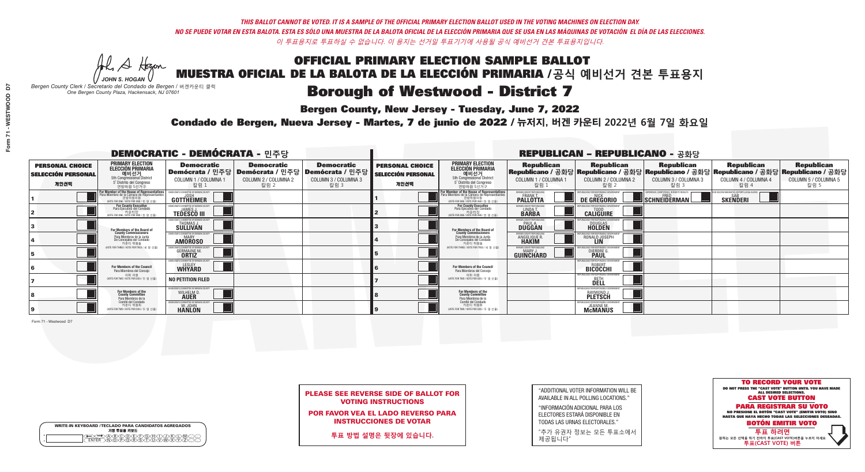A Hogen *JOHN S. HOGAN*

|   | <b>WRITE-IN KEYBOARD /TECLADO PARA CANDIDATOS AGREGADOS</b><br>기명 투표용 키보드 |
|---|---------------------------------------------------------------------------|
| o | .)B)C)DE)F)G)H)                                                           |
| o | <u>እጅአል አል</u>                                                            |

# Borough of Westwood - District 7

**Bergen County, New Jersey - Tuesday, June 7, 2022** 

*Bergen County Clerk / Secretario del Condado de Bergen /* 버겐카운티 클럭 *One Bergen County Plaza, Hackensack, NJ 07601*



PLEASE SEE REVERSE SIDE OF BALLOT FOR VOTING INSTRUCTIONS

POR FAVOR VEA EL LADO REVERSO PARA INSTRUCCIONES DE VOTAR

**투표 방법 설명은 뒷장에 있습니다.**

"ADDITIONAL VOTER INFORMATION WILL BE AVAILABLE IN ALL POLLING LOCATIONS."

"INFORMACIÓN ADICIONAL PARA LOS ELECTORES ESTARÁ DISPONIBLE EN TODAS LAS URNAS ELECTORALES."

"추가 유권자 정보는 모든 투표소에서 제공됩니다"

Condado de Bergen, Nueva Jersey - Martes, 7 de junio de 2022 / 뉴저지, 버겐 카운티 2022년 6월 7일 화요일 *One Bergen County Plaza, Hackensack, NJ 07601*

|                                                             | <b>DEMOCRATIC - DEMÓCRATA - 민주당</b>                                                                                                         |                                                                           |                                                   |                                                                                                              |                                                             | <b>REPUBLICAN - REPUBLICANO - 공화당</b>                                                                                                         |                                                                |                                                                     |                                                                                                                                                |                                                               |                                                   |
|-------------------------------------------------------------|---------------------------------------------------------------------------------------------------------------------------------------------|---------------------------------------------------------------------------|---------------------------------------------------|--------------------------------------------------------------------------------------------------------------|-------------------------------------------------------------|-----------------------------------------------------------------------------------------------------------------------------------------------|----------------------------------------------------------------|---------------------------------------------------------------------|------------------------------------------------------------------------------------------------------------------------------------------------|---------------------------------------------------------------|---------------------------------------------------|
| <b>PERSONAL CHOICE</b><br><b>SELECCIÓN PERSONAL</b><br>개인선택 | <b>PRIMARY ELECTION</b><br><b>ELECCIÓN PRIMARIA</b><br>예비선거 5th Congressional District<br>5° Distrito del Congreso<br>연방하원 5선거구             | <b>Democratic</b><br>COLUMN 1 / COLUMNA 1<br>칼럼 1                         | <b>Democratic</b><br>COLUMN 2 / COLUMNA 2<br>칼럼 2 | <b>Democratic</b><br>  Demócrata / 민주당   Demócrata / 민주당   Demócrata / 민주당  <br>COLUMN 3 / COLUMNA 3<br>칼럼 3 | <b>PERSONAL CHOICE</b><br><b>SELECCIÓN PERSONAL</b><br>개인선택 | <b>PRIMARY ELECTION</b><br><b>ELECCIÓN PRIMARIA</b><br>예비선거<br>5th Congressional District<br>5° Distrito del Congreso<br>연방하원 5선거구            | <b>Republican</b><br>COLUMN 1 / COLUMNA 1<br>칼럼 :              | <b>Republican</b><br>COLUMN 2 / COLUMNA 2<br>칼럼 2                   | <b>Republican</b><br>Republicano / 공화당 Republicano / 공화당 Republicano / 공화당 Republicano / 공화당 Republicano / 공화당<br>COLUMN 3 / COLUMNA 3<br>칼럼 3 | <b>Republican</b><br>COLUMN 4 / COLUMNA 4<br>칼럼 4             | <b>Republican</b><br>COLUMN 5 / COLUMNA 5<br>칼럼 5 |
|                                                             | or Member of the House of Representatives<br>ara Miembro de la Cámara de Representantes<br>연방하원의원<br>(VOTE FOR ONE / VOTE POR UNO / 한 명 선출) | DEMOCRATIC COMMITTEE OF BERGEN COUNTY<br>JOSH<br><b>GOTTHEIMER</b>        |                                                   |                                                                                                              |                                                             | For Member of the House of Representatives<br>Para Miembro de la Cámara de Representantes<br>연방하원의원<br>(VOTE FOR ONE / VOTE POR UNO / 한 명 선출) | BERGEN COUNTY REPUBLICANS<br>FRANK T.<br><b>PALLOTTA</b>       | DE GREGORIO                                                         | SCHNEIDERMAN                                                                                                                                   | ) VACCINE MANDATES, DEPORT ILLEGAL ALIENS.<br><b>SKENDERI</b> |                                                   |
|                                                             | For County Executive<br>Para Ejecutivo del Condado<br>가운티장 - 카운티장<br>(VOTE FOR ONE / VOTE POR UNO / 한 명 선출)                                 | )EMOCRATIC COMMITTEE OF BERGEN COUNTY<br><b>TEDESCO III</b>               |                                                   |                                                                                                              |                                                             | <b>For County Executive</b><br>Para Ejecutivo del Condado<br>가운티장<br>(VOTE FOR ONE / VOTE POR UNO / 한 명 선출)                                   | BERGEN COUNTY REPUBLICAL<br>LINDA T.                           | <b>CALIGUIRE</b>                                                    |                                                                                                                                                |                                                               |                                                   |
|                                                             | For Members of the Board of<br>County Commissioners                                                                                         | MOCRATIC COMMITTEE OF BERGEN COUNT<br><b>THOMAS J.</b><br><b>SULLIVAN</b> |                                                   |                                                                                                              |                                                             | For Members of the Board of<br>County Commissioners                                                                                           | ERGEN COUNTY REPUBLICAN<br><b>DUGGAN</b>                       | <b>DOUGLAS</b>                                                      |                                                                                                                                                |                                                               |                                                   |
|                                                             | Para Miembros de la Junta<br>De Concejales del Condado<br>카우티 위원들                                                                           | <b>OCRATIC COMMITTEE OF BERGEN COUNT</b><br>MARY<br><b>AMOROSO</b>        |                                                   |                                                                                                              |                                                             | Para Miembros de la Junta<br>De Concejales del Condado<br>카운티 위원들                                                                             | ERGEN COUNTY REPUBLICAN!<br><b>ANGELIQUE R</b><br><b>HAKIM</b> | RONALD JOSEPH<br><b>LIN</b>                                         |                                                                                                                                                |                                                               |                                                   |
|                                                             | NOTE FOR THREE / VOTE POR TRES / 세 명 선출)                                                                                                    | IC COMMITTEE OF BEBGEN CO<br><b>GERMAINE M.</b>                           |                                                   |                                                                                                              |                                                             | NOTE FOR THREE / VOTE POR TRES / 세 명 선출                                                                                                       | ERGEN COUNTY REPUBLICANS<br>MARY J.<br>GUINCHARD               | FOR RESPONSIBI E G<br>DIERDRE O                                     |                                                                                                                                                |                                                               |                                                   |
|                                                             | For Members of the Council<br>Para Miembros del Conceio                                                                                     | MOCRATIC COMMITTEE OF BERGEN COUNT<br><b>WHYARD</b>                       |                                                   |                                                                                                              |                                                             | For Members of the Council<br>Para Miembros del Concejo                                                                                       |                                                                | IRLICANS FOR RESPONSIBLE G<br><b>BICOCCHI</b>                       |                                                                                                                                                |                                                               |                                                   |
|                                                             | 의회 의원<br>(VOTE FOR TWO / VOTE POR DOS / 두 명 선)                                                                                              | <b>NO PETITION FILED</b>                                                  |                                                   |                                                                                                              |                                                             | 의회 의원<br>(VOTE FOR TWO / VOTE POR DOS / 두 명 선출)                                                                                               |                                                                | FPUBLICANS FOR RESPONSIBLE GOVERNMEN<br><b>BETH</b>                 |                                                                                                                                                |                                                               |                                                   |
|                                                             | For Members of the<br>County Committee<br>Para Miembros de la<br>Comité del Condado                                                         | CRATIC COMMITTEE OF BERGEN COUNT<br>WILHELM D.                            |                                                   |                                                                                                              |                                                             | For Members of the<br>County Committee<br>Para Miembros de la<br>Comité del Condado                                                           |                                                                | FPUBI ICANS FOR RESPONSIBI F<br><b>RAYMOND J.</b><br><b>PLETSCH</b> |                                                                                                                                                |                                                               |                                                   |
|                                                             | 카운티 위원회<br>NOTE FOR TWO / VOTE POR DOS / 두 명 선출)                                                                                            | EMOCRATIC COMMITTEE OF BERGEN COUN'<br><b>HANLON</b>                      |                                                   |                                                                                                              |                                                             | 카운티 위원회<br>NOTE FOR TWO / VOTE POR DOS / 두 명 선출)                                                                                              |                                                                | <b>JEANNE M.</b><br><b>McMANUS</b>                                  |                                                                                                                                                |                                                               |                                                   |